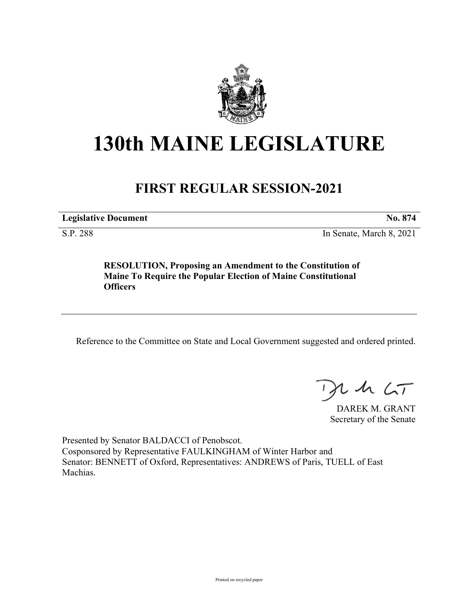

## **130th MAINE LEGISLATURE**

## **FIRST REGULAR SESSION-2021**

**Legislative Document No. 874**

S.P. 288 In Senate, March 8, 2021

**RESOLUTION, Proposing an Amendment to the Constitution of Maine To Require the Popular Election of Maine Constitutional Officers**

Reference to the Committee on State and Local Government suggested and ordered printed.

 $125$ 

DAREK M. GRANT Secretary of the Senate

Presented by Senator BALDACCI of Penobscot. Cosponsored by Representative FAULKINGHAM of Winter Harbor and Senator: BENNETT of Oxford, Representatives: ANDREWS of Paris, TUELL of East Machias.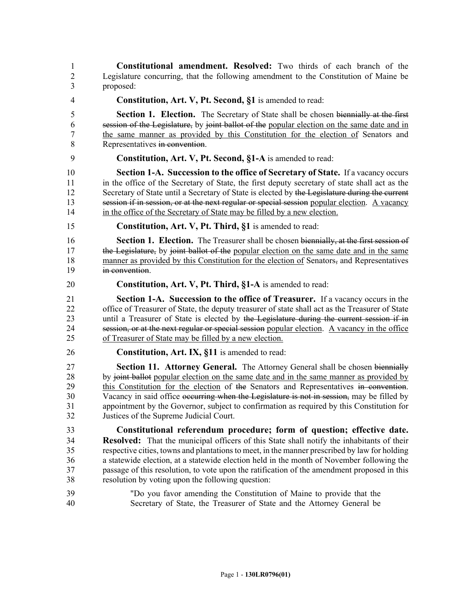1 **Constitutional amendment. Resolved:** Two thirds of each branch of the 2 Legislature concurring, that the following amendment to the Constitution of Maine be 3 proposed:

4 **Constitution, Art. V, Pt. Second, §1** is amended to read:

5 **Section 1. Election.** The Secretary of State shall be chosen biennially at the first 6 session of the Legislature, by joint ballot of the popular election on the same date and in 7 the same manner as provided by this Constitution for the election of Senators and 8 Representatives in convention.

## 9 **Constitution, Art. V, Pt. Second, §1-A** is amended to read:

10 **Section 1-A. Succession to the office of Secretary of State.** If a vacancy occurs 11 in the office of the Secretary of State, the first deputy secretary of state shall act as the 12 Secretary of State until a Secretary of State is elected by the Legislature during the current 13 session if in session, or at the next regular or special session popular election. A vacancy 14 in the office of the Secretary of State may be filled by a new election.

15 **Constitution, Art. V, Pt. Third, §1** is amended to read:

16 **Section 1. Election.** The Treasurer shall be chosen biennially, at the first session of 17 the Legislature, by joint ballot of the popular election on the same date and in the same 18 manner as provided by this Constitution for the election of Senators, and Representatives 19 in convention.

20 **Constitution, Art. V, Pt. Third, §1-A** is amended to read:

21 **Section 1-A. Succession to the office of Treasurer.** If a vacancy occurs in the 22 office of Treasurer of State, the deputy treasurer of state shall act as the Treasurer of State 23 until a Treasurer of State is elected by the Legislature during the current session if in 24 session, or at the next regular or special session popular election. A vacancy in the office 25 of Treasurer of State may be filled by a new election.

26 **Constitution, Art. IX, §11** is amended to read:

27 **Section 11. Attorney General.** The Attorney General shall be chosen biennially 28 by joint ballot popular election on the same date and in the same manner as provided by 29 this Constitution for the election of the Senators and Representatives in convention. 30 Vacancy in said office occurring when the Legislature is not in session, may be filled by 31 appointment by the Governor, subject to confirmation as required by this Constitution for 32 Justices of the Supreme Judicial Court.

33 **Constitutional referendum procedure; form of question; effective date.**  34 **Resolved:** That the municipal officers of this State shall notify the inhabitants of their 35 respective cities, towns and plantations to meet, in the manner prescribed by law for holding 36 a statewide election, at a statewide election held in the month of November following the 37 passage of this resolution, to vote upon the ratification of the amendment proposed in this 38 resolution by voting upon the following question:

39 "Do you favor amending the Constitution of Maine to provide that the 40 Secretary of State, the Treasurer of State and the Attorney General be